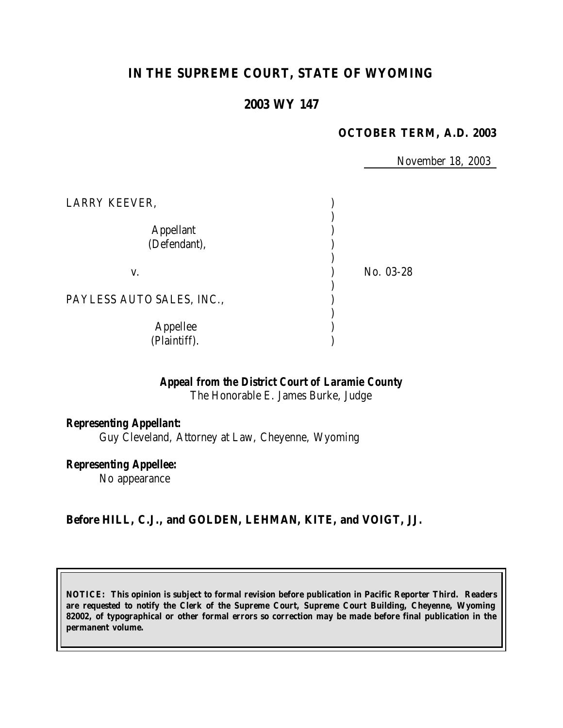# **IN THE SUPREME COURT, STATE OF WYOMING**

### **2003 WY 147**

#### **OCTOBER TERM, A.D. 2003**

November 18, 2003

| LARRY KEEVER,                    |           |
|----------------------------------|-----------|
| <b>Appellant</b><br>(Defendant), |           |
| V.                               | No. 03-28 |
| PAYLESS AUTO SALES, INC.,        |           |
| Appellee<br>(Plaintiff).         |           |

*Appeal from the District Court of Laramie County*

The Honorable E. James Burke, Judge

#### *Representing Appellant:*

Guy Cleveland, Attorney at Law, Cheyenne, Wyoming

*Representing Appellee:*

No appearance

### **Before HILL, C.J., and GOLDEN, LEHMAN, KITE, and VOIGT, JJ.**

**NOTICE: This opinion is subject to formal revision before publication in Pacific Reporter Third. Readers are requested to notify the Clerk of the Supreme Court, Supreme Court Building, Cheyenne, Wyoming 82002, of typographical or other formal errors so correction may be made before final publication in the permanent volume.**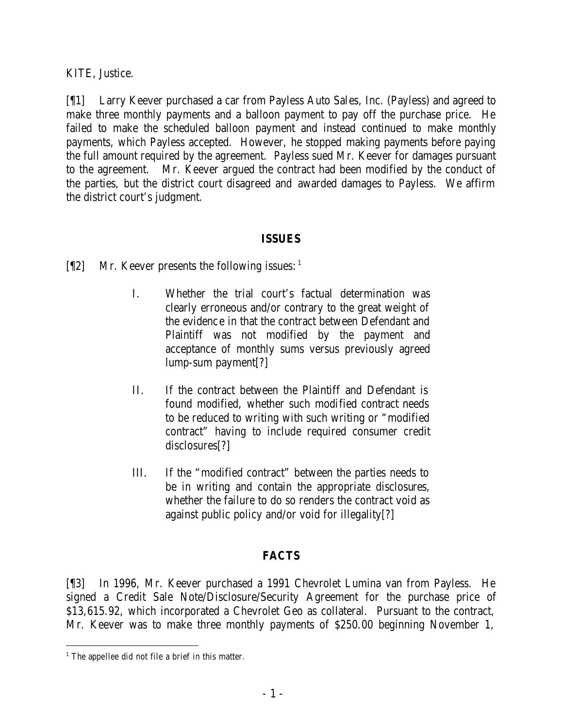KITE, Justice.

[¶1] Larry Keever purchased a car from Payless Auto Sales, Inc. (Payless) and agreed to make three monthly payments and a balloon payment to pay off the purchase price. He failed to make the scheduled balloon payment and instead continued to make monthly payments, which Payless accepted. However, he stopped making payments before paying the full amount required by the agreement. Payless sued Mr. Keever for damages pursuant to the agreement. Mr. Keever argued the contract had been modified by the conduct of the parties, but the district court disagreed and awarded damages to Payless. We affirm the district court's judgment.

### **ISSUES**

- $[\P2]$  Mr. Keever presents the following issues: <sup>1</sup>
	- I. Whether the trial court's factual determination was clearly erroneous and/or contrary to the great weight of the evidence in that the contract between Defendant and Plaintiff was not modified by the payment and acceptance of monthly sums versus previously agreed lump-sum payment[?]
	- II. If the contract between the Plaintiff and Defendant is found modified, whether such modified contract needs to be reduced to writing with such writing or "modified contract" having to include required consumer credit disclosures[?]
	- III. If the "modified contract" between the parties needs to be in writing and contain the appropriate disclosures, whether the failure to do so renders the contract void as against public policy and/or void for illegality[?]

## **FACTS**

[¶3] In 1996, Mr. Keever purchased a 1991 Chevrolet Lumina van from Payless. He signed a Credit Sale Note/Disclosure/Security Agreement for the purchase price of \$13,615.92, which incorporated a Chevrolet Geo as collateral. Pursuant to the contract, Mr. Keever was to make three monthly payments of \$250.00 beginning November 1,

<sup>&</sup>lt;sup>1</sup> The appellee did not file a brief in this matter.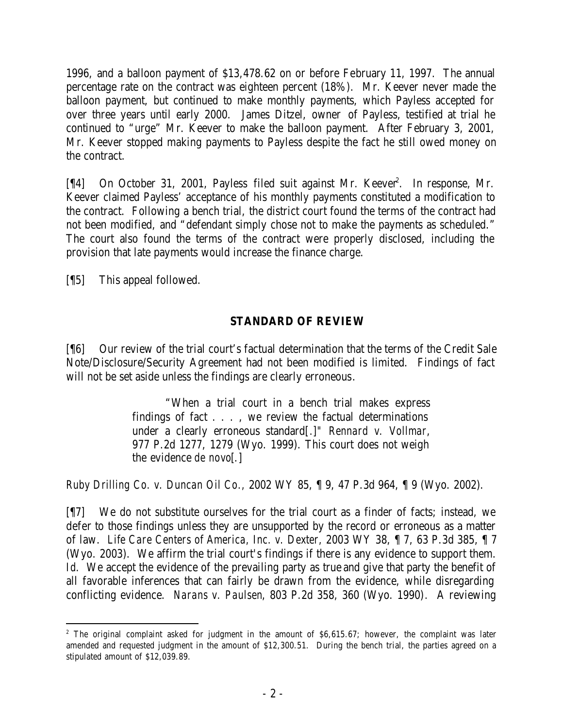1996, and a balloon payment of \$13,478.62 on or before February 11, 1997. The annual percentage rate on the contract was eighteen percent (18%). Mr. Keever never made the balloon payment, but continued to make monthly payments, which Payless accepted for over three years until early 2000. James Ditzel, owner of Payless, testified at trial he continued to "urge" Mr. Keever to make the balloon payment. After February 3, 2001, Mr. Keever stopped making payments to Payless despite the fact he still owed money on the contract.

[¶4] On October 31, 2001, Payless filed suit against Mr. Keever<sup>2</sup>. In response, Mr. Keever claimed Payless' acceptance of his monthly payments constituted a modification to the contract. Following a bench trial, the district court found the terms of the contract had not been modified, and "defendant simply chose not to make the payments as scheduled." The court also found the terms of the contract were properly disclosed, including the provision that late payments would increase the finance charge.

[¶5] This appeal followed.

### **STANDARD OF REVIEW**

[¶6] Our review of the trial court's factual determination that the terms of the Credit Sale Note/Disclosure/Security Agreement had not been modified is limited. Findings of fact will not be set aside unless the findings are clearly erroneous.

> "When a trial court in a bench trial makes express findings of fact . . . , we review the factual determinations under a clearly erroneous standard[*.*]*" Rennard v. Vollmar*, 977 P.2d 1277, 1279 (Wyo. 1999). This court does not weigh the evidence *de novo*[.]

*Ruby Drilling Co. v. Duncan Oil Co.,* 2002 WY 85, ¶ 9, 47 P.3d 964, ¶ 9 (Wyo. 2002).

[¶7] We do not substitute ourselves for the trial court as a finder of facts; instead, we defer to those findings unless they are unsupported by the record or erroneous as a matter of law. *Life Care Centers of America, Inc. v. Dexter,* 2003 WY 38, ¶ 7, 63 P.3d 385, ¶ 7 (Wyo. 2003). We affirm the trial court's findings if there is any evidence to support them. *Id.* We accept the evidence of the prevailing party as true and give that party the benefit of all favorable inferences that can fairly be drawn from the evidence, while disregarding conflicting evidence. *Narans v. Paulsen*, 803 P.2d 358, 360 (Wyo. 1990)*.* A reviewing

<sup>&</sup>lt;sup>2</sup> The original complaint asked for judgment in the amount of \$6,615.67; however, the complaint was later amended and requested judgment in the amount of \$12,300.51. During the bench trial, the parties agreed on a stipulated amount of \$12,039.89.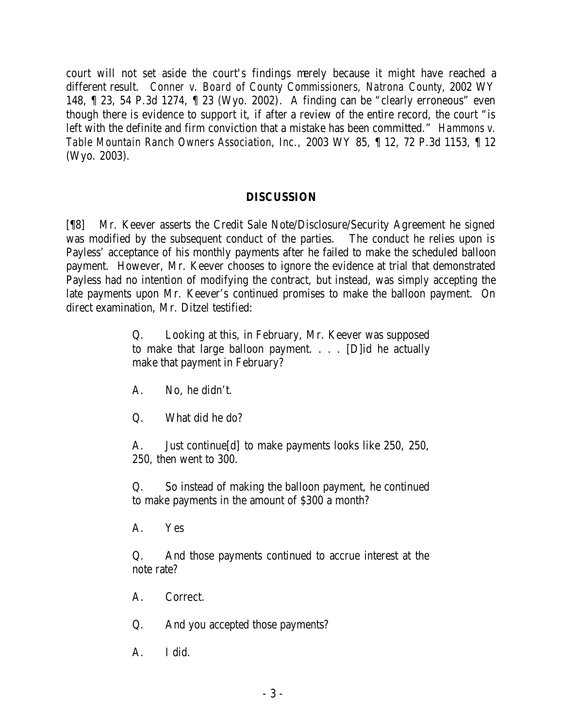court will not set aside the court's findings merely because it might have reached a different result. *Conner v. Board of County Commissioners, Natrona County*, 2002 WY 148, ¶ 23, 54 P.3d 1274, ¶ 23 (Wyo. 2002). A finding can be "clearly erroneous" even though there is evidence to support it, if after a review of the entire record, the court "is left with the definite and firm conviction that a mistake has been committed." *Hammons v. Table Mountain Ranch Owners Association, Inc.,* 2003 WY 85, ¶ 12, 72 P.3d 1153, ¶ 12 (Wyo. 2003).

#### **DISCUSSION**

[¶8] Mr. Keever asserts the Credit Sale Note/Disclosure/Security Agreement he signed was modified by the subsequent conduct of the parties. The conduct he relies upon is Payless' acceptance of his monthly payments after he failed to make the scheduled balloon payment. However, Mr. Keever chooses to ignore the evidence at trial that demonstrated Payless had no intention of modifying the contract, but instead, was simply accepting the late payments upon Mr. Keever's continued promises to make the balloon payment. On direct examination, Mr. Ditzel testified:

> Q. Looking at this, in February, Mr. Keever was supposed to make that large balloon payment. . . . [D]id he actually make that payment in February?

- A. No, he didn't.
- Q. What did he do?

A. Just continue[d] to make payments looks like 250, 250, 250, then went to 300.

Q. So instead of making the balloon payment, he continued to make payments in the amount of \$300 a month?

A. Yes

Q. And those payments continued to accrue interest at the note rate?

- A. Correct.
- Q. And you accepted those payments?
- A. I did.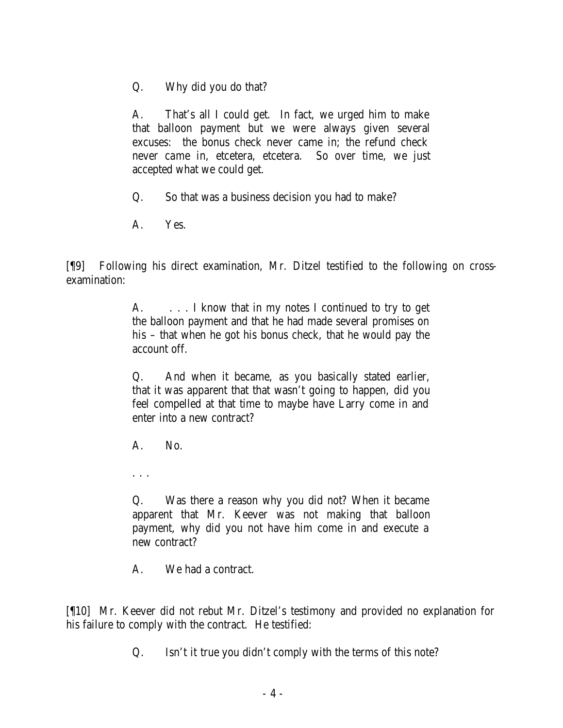Q. Why did you do that?

A. That's all I could get. In fact, we urged him to make that balloon payment but we were always given several excuses: the bonus check never came in; the refund check never came in, etcetera, etcetera. So over time, we just accepted what we could get.

Q. So that was a business decision you had to make?

A. Yes.

[¶9] Following his direct examination, Mr. Ditzel testified to the following on crossexamination:

> A.  $\ldots$  I know that in my notes I continued to try to get the balloon payment and that he had made several promises on his – that when he got his bonus check, that he would pay the account off.

> Q. And when it became, as you basically stated earlier, that it was apparent that that wasn't going to happen, did you feel compelled at that time to maybe have Larry come in and enter into a new contract?

A. No.

. . .

Q. Was there a reason why you did not? When it became apparent that Mr. Keever was not making that balloon payment, why did you not have him come in and execute a new contract?

A. We had a contract.

[¶10] Mr. Keever did not rebut Mr. Ditzel's testimony and provided no explanation for his failure to comply with the contract. He testified:

Q. Isn't it true you didn't comply with the terms of this note?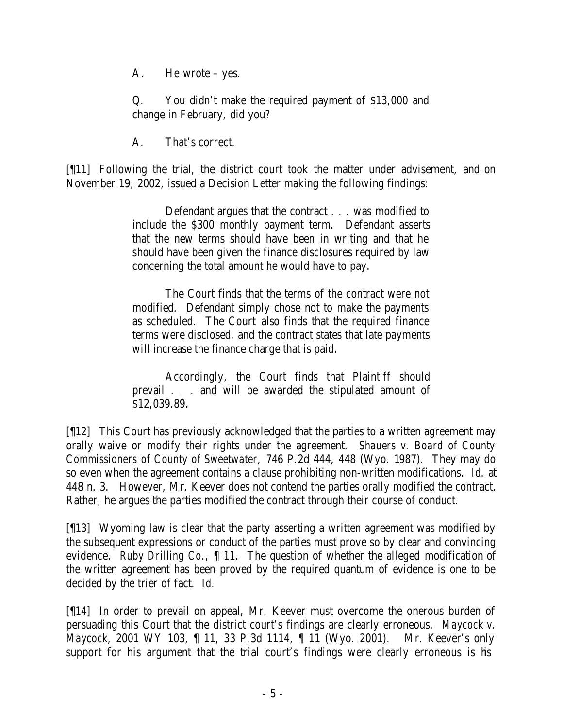A. He wrote – yes.

Q. You didn't make the required payment of \$13,000 and change in February, did you?

A. That's correct.

[¶11] Following the trial, the district court took the matter under advisement, and on November 19, 2002, issued a Decision Letter making the following findings:

> Defendant argues that the contract . . . was modified to include the \$300 monthly payment term. Defendant asserts that the new terms should have been in writing and that he should have been given the finance disclosures required by law concerning the total amount he would have to pay.

> The Court finds that the terms of the contract were not modified. Defendant simply chose not to make the payments as scheduled. The Court also finds that the required finance terms were disclosed, and the contract states that late payments will increase the finance charge that is paid.

> Accordingly, the Court finds that Plaintiff should prevail . . . and will be awarded the stipulated amount of \$12,039.89.

[¶12] This Court has previously acknowledged that the parties to a written agreement may orally waive or modify their rights under the agreement. *Shauers v. Board of County Commissioners of County of Sweetwater,* 746 P.2d 444, 448 (Wyo. 1987). They may do so even when the agreement contains a clause prohibiting non-written modifications. *Id.* at 448 n. 3. However, Mr. Keever does not contend the parties orally modified the contract. Rather, he argues the parties modified the contract through their course of conduct.

[¶13] Wyoming law is clear that the party asserting a written agreement was modified by the subsequent expressions or conduct of the parties must prove so by clear and convincing evidence. *Ruby Drilling Co.,* ¶ 11. The question of whether the alleged modification of the written agreement has been proved by the required quantum of evidence is one to be decided by the trier of fact. *Id.*

[¶14] In order to prevail on appeal, Mr. Keever must overcome the onerous burden of persuading this Court that the district court's findings are clearly erroneous. *Maycock v. Maycock*, 2001 WY 103, ¶ 11, 33 P.3d 1114, ¶ 11 (Wyo. 2001). Mr. Keever's only support for his argument that the trial court's findings were clearly erroneous is his